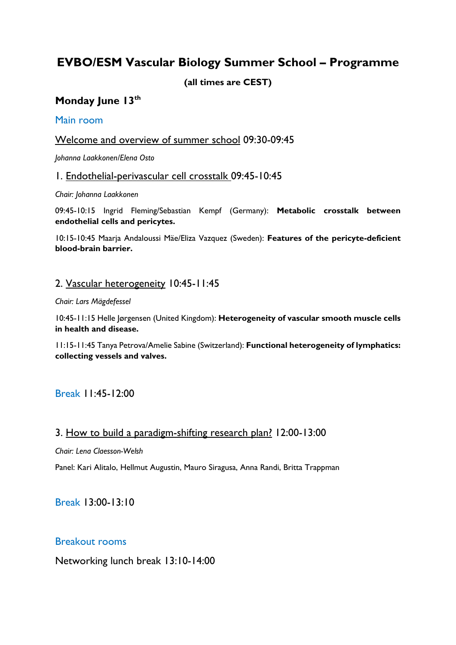## **EVBO/ESM Vascular Biology Summer School – Programme**

**(all times are CEST)**

## **Monday June 13th**

#### Main room

## Welcome and overview of summer school 09:30-09:45

*Johanna Laakkonen/Elena Osto*

#### 1. Endothelial-perivascular cell crosstalk 09:45-10:45

*Chair: Johanna Laakkonen*

09:45-10:15 Ingrid Fleming/Sebastian Kempf (Germany): **Metabolic crosstalk between endothelial cells and pericytes.**

10:15-10:45 Maarja Andaloussi Mäe/Eliza Vazquez (Sweden): **Features of the pericyte-deficient blood-brain barrier.**

#### 2. Vascular heterogeneity 10:45-11:45

#### *Chair: Lars Mägdefessel*

10:45-11:15 Helle Jørgensen (United Kingdom): **Heterogeneity of vascular smooth muscle cells in health and disease.**

11:15-11:45 Tanya Petrova/Amelie Sabine (Switzerland): **Functional heterogeneity of lymphatics: collecting vessels and valves.**

Break 11:45-12:00

#### 3. How to build a paradigm-shifting research plan? 12:00-13:00

*Chair: Lena Claesson-Welsh*

Panel: Kari Alitalo, Hellmut Augustin, Mauro Siragusa, Anna Randi, Britta Trappman

Break 13:00-13:10

#### Breakout rooms

Networking lunch break 13:10-14:00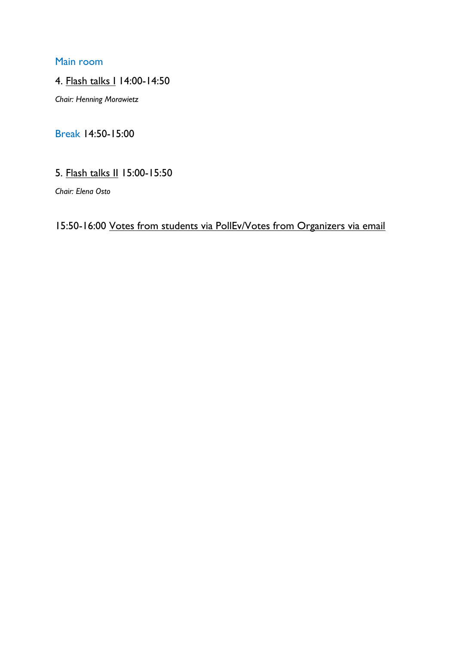#### Main room

#### 4. Flash talks I 14:00-14:50

*Chair: Henning Morawietz*

## Break 14:50-15:00

## 5. Flash talks II 15:00-15:50

*Chair: Elena Osto*

# 15:50-16:00 Votes from students via PollEv/Votes from Organizers via email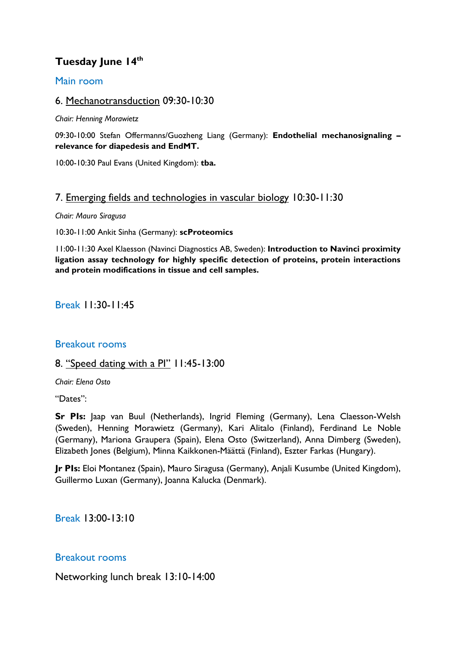## **Tuesday June 14th**

#### Main room

#### 6. Mechanotransduction 09:30-10:30

*Chair: Henning Morawietz*

09:30-10:00 Stefan Offermanns/Guozheng Liang (Germany): **Endothelial mechanosignaling – relevance for diapedesis and EndMT.**

10:00-10:30 Paul Evans (United Kingdom): **tba.**

#### 7. Emerging fields and technologies in vascular biology 10:30-11:30

*Chair: Mauro Siragusa*

10:30-11:00 Ankit Sinha (Germany): **scProteomics**

11:00-11:30 Axel Klaesson (Navinci Diagnostics AB, Sweden): **Introduction to Navinci proximity ligation assay technology for highly specific detection of proteins, protein interactions and protein modifications in tissue and cell samples.**

Break 11:30-11:45

#### Breakout rooms

#### 8. "Speed dating with a PI" 11:45-13:00

*Chair: Elena Osto*

"Dates":

**Sr PIs:** Jaap van Buul (Netherlands), Ingrid Fleming (Germany), Lena Claesson-Welsh (Sweden), Henning Morawietz (Germany), Kari Alitalo (Finland), Ferdinand Le Noble (Germany), Mariona Graupera (Spain), Elena Osto (Switzerland), Anna Dimberg (Sweden), Elizabeth Jones (Belgium), Minna Kaikkonen-Määttä (Finland), Eszter Farkas (Hungary).

**Jr PIs:** Eloi Montanez (Spain), Mauro Siragusa (Germany), Anjali Kusumbe (United Kingdom), Guillermo Luxan (Germany), Joanna Kalucka (Denmark).

Break 13:00-13:10

#### Breakout rooms

Networking lunch break 13:10-14:00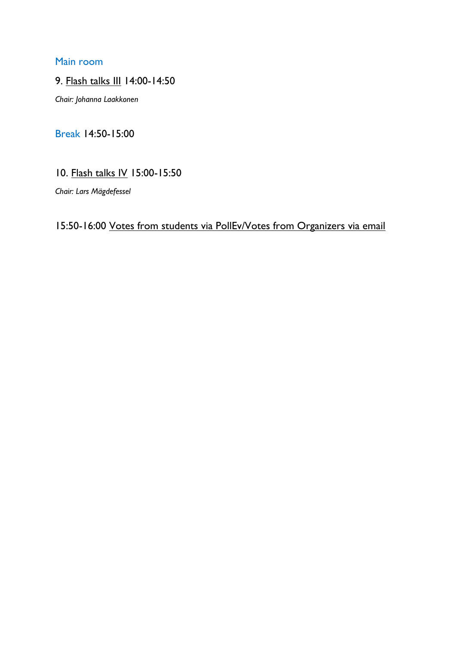#### Main room

#### 9. Flash talks III 14:00-14:50

*Chair: Johanna Laakkonen*

## Break 14:50-15:00

## 10. Flash talks IV 15:00-15:50

*Chair: Lars Mägdefessel*

## 15:50-16:00 Votes from students via PollEv/Votes from Organizers via email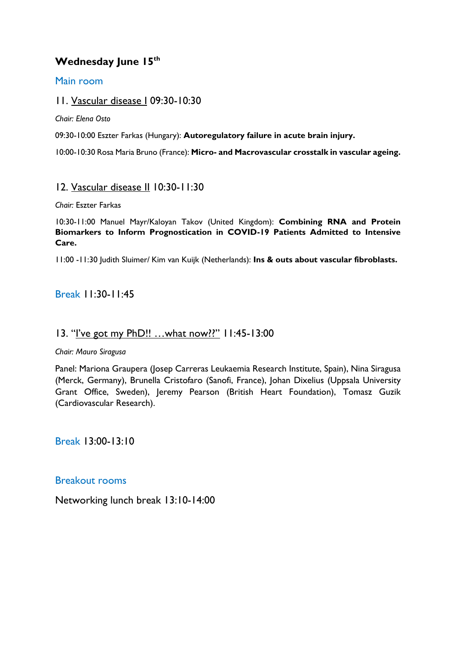### **Wednesday June 15th**

#### Main room

#### 11. Vascular disease I 09:30-10:30

*Chair: Elena Osto*

09:30-10:00 Eszter Farkas (Hungary): **Autoregulatory failure in acute brain injury.**

10:00-10:30 Rosa Maria Bruno (France): **Micro- and Macrovascular crosstalk in vascular ageing.**

#### 12. Vascular disease II 10:30-11:30

*Chair:* Eszter Farkas

10:30-11:00 Manuel Mayr/Kaloyan Takov (United Kingdom): **Combining RNA and Protein Biomarkers to Inform Prognostication in COVID-19 Patients Admitted to Intensive Care.**

11:00 -11:30 Judith Sluimer/ Kim van Kuijk (Netherlands): **Ins & outs about vascular fibroblasts.**

#### Break 11:30-11:45

#### 13. "I've got my PhD!! ... what now??" 11:45-13:00

*Chair: Mauro Siragusa*

Panel: Mariona Graupera (Josep Carreras Leukaemia Research Institute, Spain), Nina Siragusa (Merck, Germany), Brunella Cristofaro (Sanofi, France), Johan Dixelius (Uppsala University Grant Office, Sweden), Jeremy Pearson (British Heart Foundation), Tomasz Guzik (Cardiovascular Research).

Break 13:00-13:10

Breakout rooms

Networking lunch break 13:10-14:00